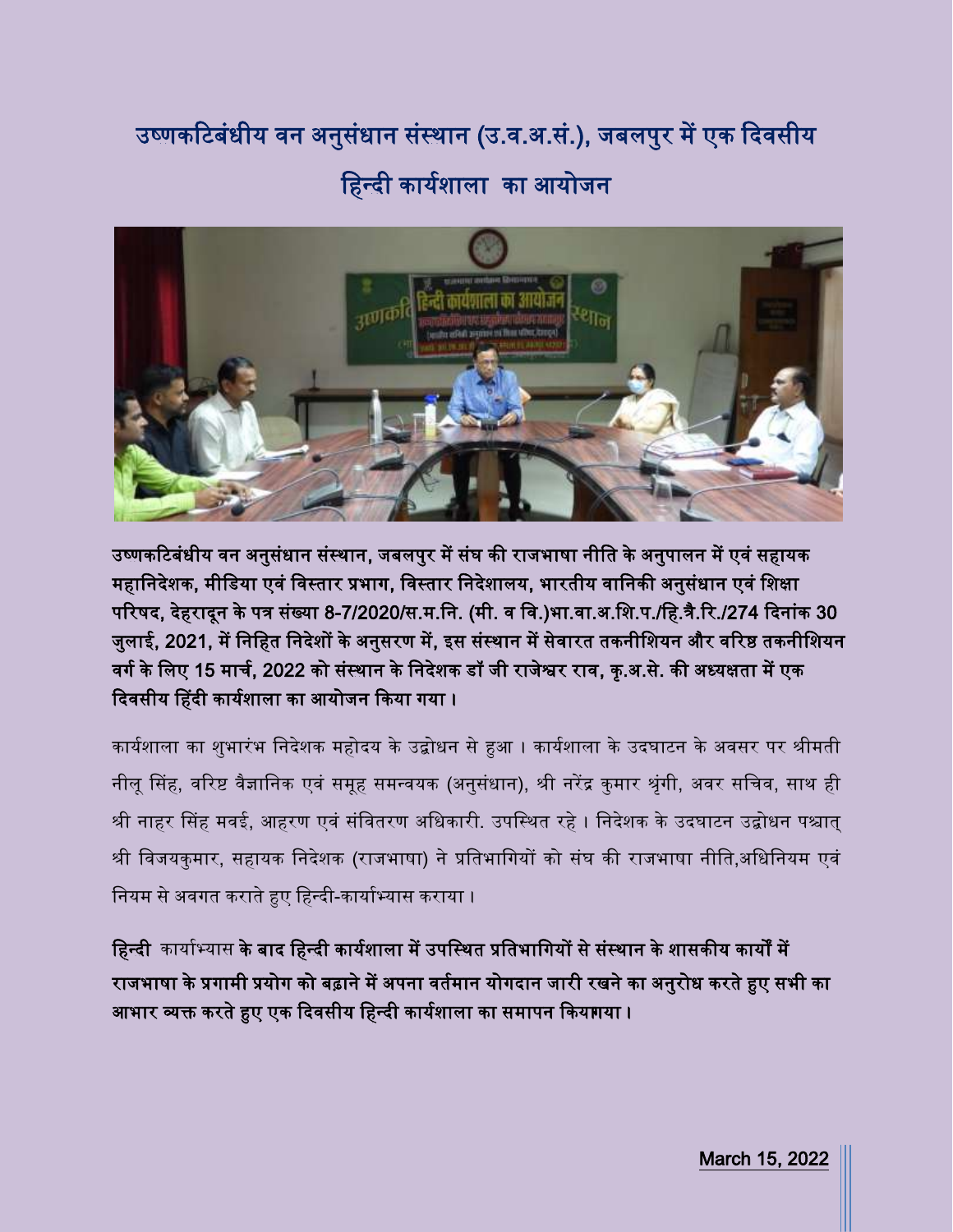## उष्णकटिबंधीय वन अनुसंधान संस्थान (उ.व.अ.सं.), जबलपुर में एक दिवसीय हहन्दी काययशाला का आयोजन



उष्णकटिबंधीय वन अनुसंधान संस्थान, जबलपुर में संघ की राजभाषा नीति के अनुपालन में एवं सहायक महानिदेशक, मीडिया एवं विस्तार प्रभाग, विस्तार निदेशालय, भारतीय वानिकी अनुसंधान एवं शिक्षा परिषद, देहरादून के पत्र संख्या 8-7/2020/स.म.नि. (मी. व वि.)भा.वा.अ.शि.प./हि.त्रै.रि./274 दिनांक 30 जुलाई, 2021, में निहित निदेशों के अनुसरण में, इस संस्थान में सेवारत तकनीशियन और वरिष्ठ तकनीशियन वर्ग के लिए 15 मार्च, 2022 को संस्थान के निदेशक डॉ जी राजेश्वर राव, कृ.अ.से. की अध्यक्षता में एक दिवसीय हिंदी कार्यशाला का आयोजन किया गया।

कार्यशाला का शुभारंभ निदेशक महोदय के उद्बोधन से हुआ । कार्यशाला के उदघाटन के अवसर पर श्रीमती नीलू सिंह, वरिष्ट वैज्ञानिक एवं समूह समन्वयक (अनुसंधान), श्री नरेंद्र कुमार श्रृंगी, अवर सचिव, साथ ही श्री नाहर सिंह मवई, आहरण एवं संवितरण अधिकारी. उपस्थित रहे । निदेशक के उदघाटन उद्बोधन पश्चात् श्री विजयकुमार, सहायक निदेशक (राजभाषा) ने प्रतिभागियों को संघ की राजभाषा नीति,अधिनियम एवं नियम से अवगत कराते हुए हिन्दी-कार्याभ्यास कराया ।

हिन्दी कार्याभ्यास के बाद हिन्दी कार्यशाला में उपस्थित प्रतिभागियों से संस्थान के शासकीय कार्यों में राजभाषा के प्रगामी प्रयोग को बढ़ाने में अपना वर्तमान योगदान जारी रखने का अनुरोध करते हुए सभी का आभार व्यक्त करते हुए एक दिवसीय हिन्दी कार्यशाला का समापन कियागया ।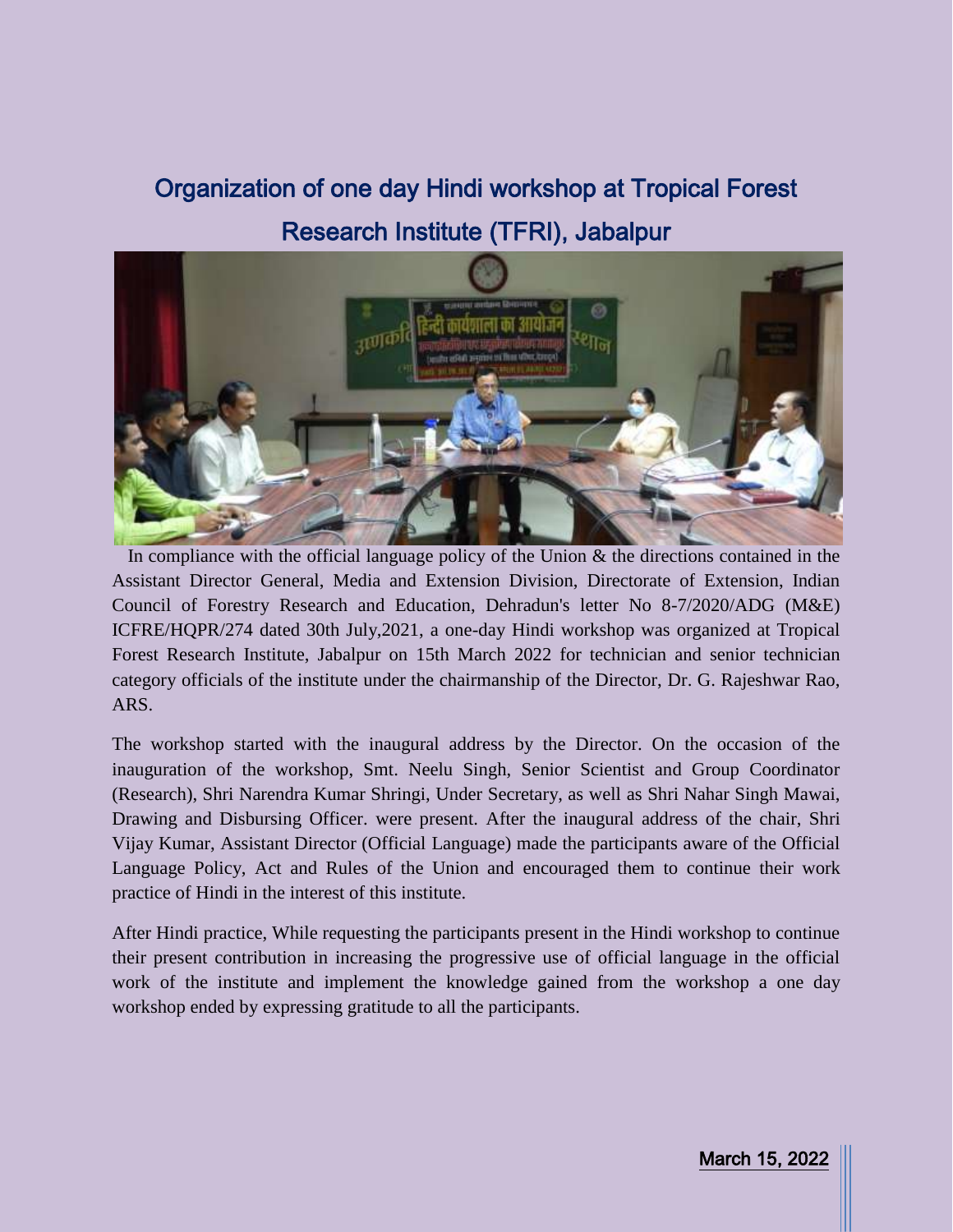## Organization of one day Hindi workshop at Tropical Forest Research Institute (TFRI), Jabalpur



In compliance with the official language policy of the Union  $\&$  the directions contained in the Assistant Director General, Media and Extension Division, Directorate of Extension, Indian Council of Forestry Research and Education, Dehradun's letter No 8-7/2020/ADG (M&E) ICFRE/HQPR/274 dated 30th July,2021, a one-day Hindi workshop was organized at Tropical Forest Research Institute, Jabalpur on 15th March 2022 for technician and senior technician category officials of the institute under the chairmanship of the Director, Dr. G. Rajeshwar Rao, ARS.

The workshop started with the inaugural address by the Director. On the occasion of the inauguration of the workshop, Smt. Neelu Singh, Senior Scientist and Group Coordinator (Research), Shri Narendra Kumar Shringi, Under Secretary, as well as Shri Nahar Singh Mawai, Drawing and Disbursing Officer. were present. After the inaugural address of the chair, Shri Vijay Kumar, Assistant Director (Official Language) made the participants aware of the Official Language Policy, Act and Rules of the Union and encouraged them to continue their work practice of Hindi in the interest of this institute.

After Hindi practice, While requesting the participants present in the Hindi workshop to continue their present contribution in increasing the progressive use of official language in the official work of the institute and implement the knowledge gained from the workshop a one day workshop ended by expressing gratitude to all the participants.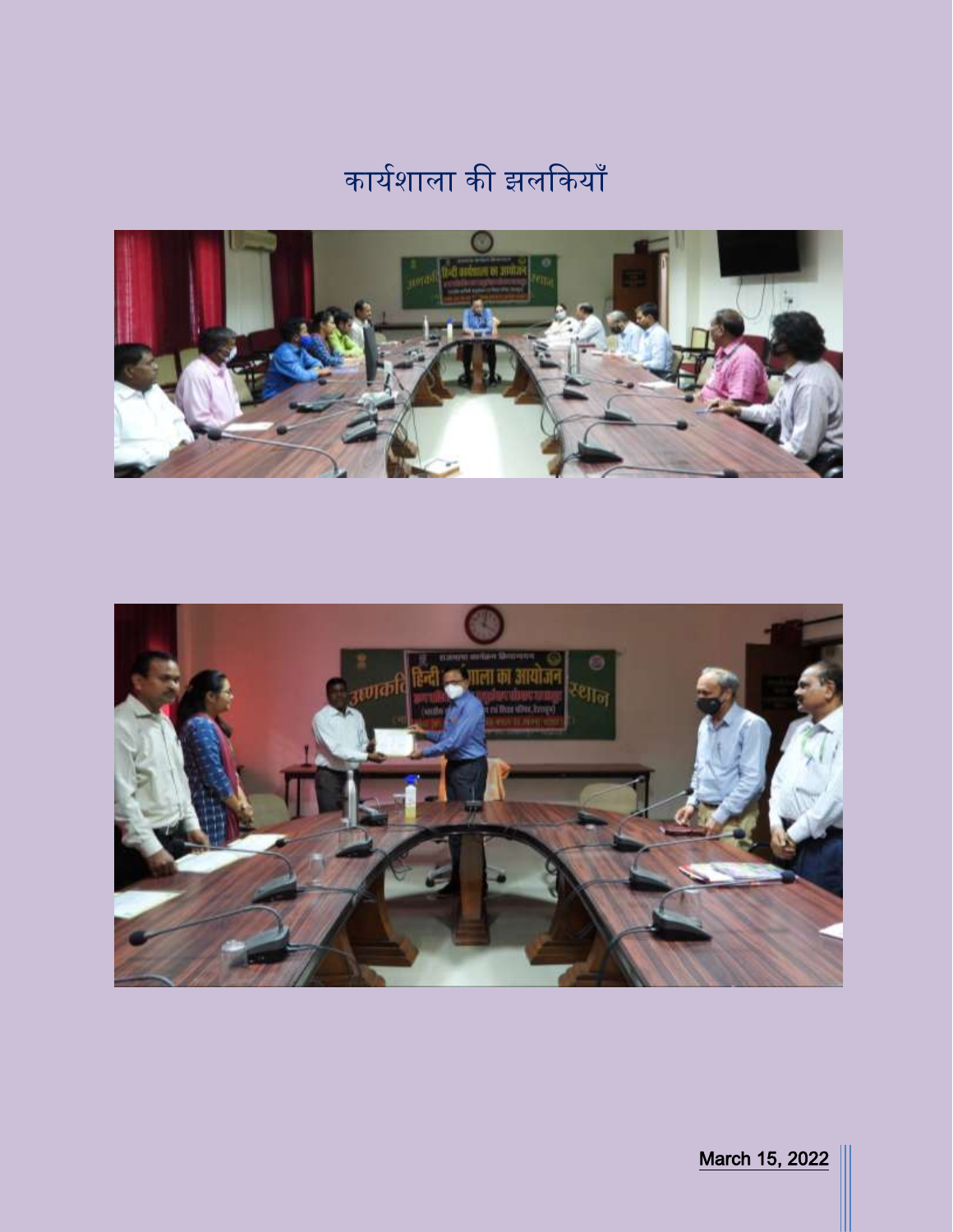## कार्यशाला की झलकियाँ





March 15, 2022